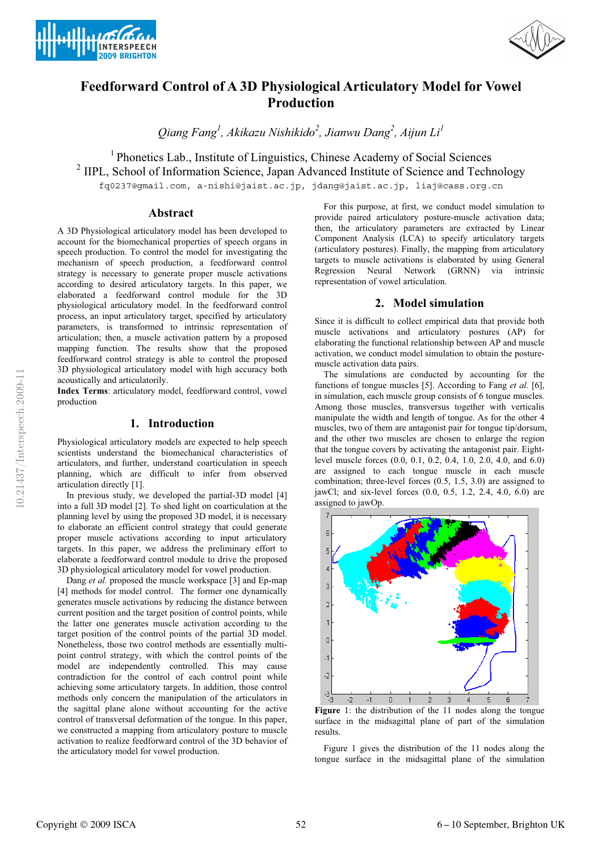



# **Feedforward Control of A 3D Physiological Articulatory Model for Vowel Production**

*Qiang Fang1 , Akikazu Nishikido<sup>2</sup> , Jianwu Dang<sup>2</sup> , Aijun Li<sup>1</sup>*

<sup>1</sup> Phonetics Lab., Institute of Linguistics, Chinese Academy of Social Sciences

<sup>2</sup> IIPL, School of Information Science, Japan Advanced Institute of Science and Technology

fq0237@gmail.com, a-nishi@jaist.ac.jp, jdang@jaist.ac.jp, liaj@cass.org.cn

#### **Abstract**

A 3D Physiological articulatory model has been developed to account for the biomechanical properties of speech organs in speech production. To control the model for investigating the mechanism of speech production, a feedforward control strategy is necessary to generate proper muscle activations according to desired articulatory targets. In this paper, we elaborated a feedforward control module for the 3D physiological articulatory model. In the feedforward control process, an input articulatory target, specified by articulatory parameters, is transformed to intrinsic representation of articulation; then, a muscle activation pattern by a proposed mapping function. The results show that the proposed feedforward control strategy is able to control the proposed 3D physiological articulatory model with high accuracy both acoustically and articulatorily.

**Index Terms**: articulatory model, feedforward control, vowel production

### **1. Introduction**

Physiological articulatory models are expected to help speech scientists understand the biomechanical characteristics of articulators, and further, understand coarticulation in speech planning, which are difficult to infer from observed articulation directly [1].

In previous study, we developed the partial-3D model [4] into a full 3D model [2]. To shed light on coarticulation at the planning level by using the proposed 3D model, it is necessary to elaborate an efficient control strategy that could generate proper muscle activations according to input articulatory targets. In this paper, we address the preliminary effort to elaborate a feedforward control module to drive the proposed 3D physiological articulatory model for vowel production.

Dang *et al.* proposed the muscle workspace [3] and Ep-map [4] methods for model control. The former one dynamically generates muscle activations by reducing the distance between current position and the target position of control points, while the latter one generates muscle activation according to the target position of the control points of the partial 3D model. Nonetheless, those two control methods are essentially multipoint control strategy, with which the control points of the model are independently controlled. This may cause contradiction for the control of each control point while achieving some articulatory targets. In addition, those control methods only concern the manipulation of the articulators in the sagittal plane alone without accounting for the active control of transversal deformation of the tongue. In this paper, we constructed a mapping from articulatory posture to muscle activation to realize feedforward control of the 3D behavior of the articulatory model for vowel production.

For this purpose, at first, we conduct model simulation to provide paired articulatory posture-muscle activation data; then, the articulatory parameters are extracted by Linear Component Analysis (LCA) to specify articulatory targets (articulatory postures). Finally, the mapping from articulatory targets to muscle activations is elaborated by using General Regression Neural Network (GRNN) via intrinsic representation of vowel articulation.

### **2. Model simulation**

Since it is difficult to collect empirical data that provide both muscle activations and articulatory postures (AP) for elaborating the functional relationship between AP and muscle activation, we conduct model simulation to obtain the posturemuscle activation data pairs.

The simulations are conducted by accounting for the functions of tongue muscles [5]. According to Fang *et al.* [6], in simulation, each muscle group consists of 6 tongue muscles. Among those muscles, transversus together with verticalis manipulate the width and length of tongue. As for the other 4 muscles, two of them are antagonist pair for tongue tip/dorsum, and the other two muscles are chosen to enlarge the region that the tongue covers by activating the antagonist pair. Eightlevel muscle forces (0.0, 0.1, 0.2, 0.4, 1.0, 2.0, 4.0, and 6.0) are assigned to each tongue muscle in each muscle combination; three-level forces (0.5, 1.5, 3.0) are assigned to jawCl; and six-level forces (0.0, 0.5, 1.2, 2.4, 4.0, 6.0) are assigned to jawOp.



**Figure** 1: the distribution of the 11 nodes along the tongue surface in the midsagittal plane of part of the simulation results.

Figure 1 gives the distribution of the 11 nodes along the tongue surface in the midsagittal plane of the simulation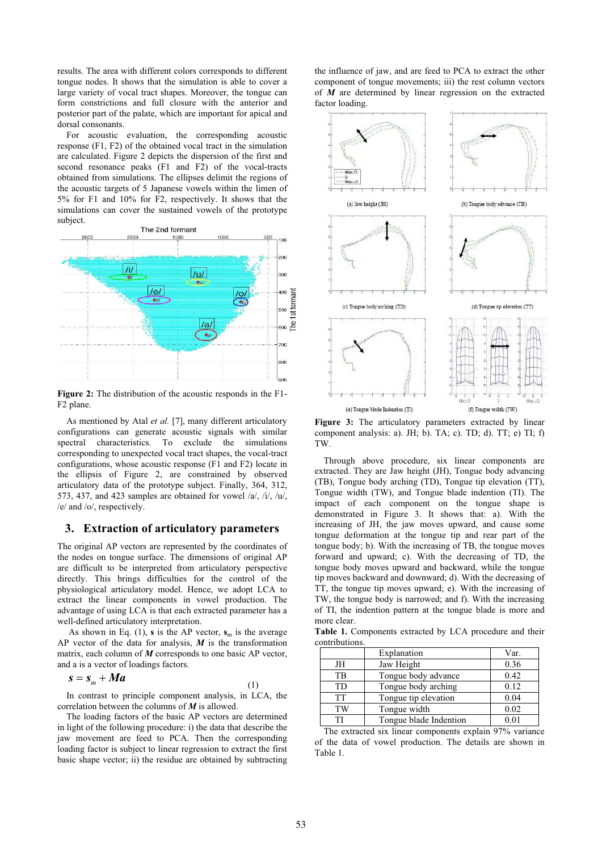results. The area with different colors corresponds to different tongue nodes. It shows that the simulation is able to cover a large variety of vocal tract shapes. Moreover, the tongue can form constrictions and full closure with the anterior and posterior part of the palate, which are important for apical and dorsal consonants.

For acoustic evaluation, the corresponding acoustic response (F1, F2) of the obtained vocal tract in the simulation are calculated. Figure 2 depicts the dispersion of the first and second resonance peaks (F1 and F2) of the vocal-tracts obtained from simulations. The ellipses delimit the regions of the acoustic targets of 5 Japanese vowels within the limen of 5% for F1 and 10% for F2, respectively. It shows that the simulations can cover the sustained vowels of the prototype subject.



**Figure 2:** The distribution of the acoustic responds in the F1- F2 plane.

As mentioned by Atal *et al.* [7], many different articulatory configurations can generate acoustic signals with similar spectral characteristics. To exclude the simulations corresponding to unexpected vocal tract shapes, the vocal-tract configurations, whose acoustic response (F1 and F2) locate in the ellipsis of Figure 2, are constrained by observed articulatory data of the prototype subject. Finally, 364, 312, 573, 437, and 423 samples are obtained for vowel  $/a$ ,  $/i$ ,  $/u$ , /e/ and /o/, respectively.

### **3. Extraction of articulatory parameters**

The original AP vectors are represented by the coordinates of the nodes on tongue surface. The dimensions of original AP are difficult to be interpreted from articulatory perspective directly. This brings difficulties for the control of the physiological articulatory model. Hence, we adopt LCA to extract the linear components in vowel production. The advantage of using LCA is that each extracted parameter has a well-defined articulatory interpretation.

As shown in Eq. (1), **s** is the AP vector,  $\mathbf{s}_m$  is the average AP vector of the data for analysis, *M* is the transformation matrix, each column of *M* corresponds to one basic AP vector, and a is a vector of loadings factors.

$$
s = s_m + Ma \tag{1}
$$

In contrast to principle component analysis, in LCA, the correlation between the columns of *M* is allowed.

The loading factors of the basic AP vectors are determined in light of the following procedure: i) the data that describe the jaw movement are feed to PCA. Then the corresponding loading factor is subject to linear regression to extract the first basic shape vector; ii) the residue are obtained by subtracting the influence of jaw, and are feed to PCA to extract the other component of tongue movements; iii) the rest column vectors of *M* are determined by linear regression on the extracted factor loading.



Figure 3: The articulatory parameters extracted by linear component analysis: a). JH; b). TA; c). TD; d). TT; e) TI; f) TW.

Through above procedure, six linear components are extracted. They are Jaw height (JH), Tongue body advancing (TB), Tongue body arching (TD), Tongue tip elevation (TT), Tongue width (TW), and Tongue blade indention (TI). The impact of each component on the tongue shape is demonstrated in Figure 3. It shows that: a). With the increasing of JH, the jaw moves upward, and cause some tongue deformation at the tongue tip and rear part of the tongue body; b). With the increasing of TB, the tongue moves forward and upward; c). With the decreasing of TD, the tongue body moves upward and backward, while the tongue tip moves backward and downward; d). With the decreasing of TT, the tongue tip moves upward; e). With the increasing of TW, the tongue body is narrowed; and f). With the increasing of TI, the indention pattern at the tongue blade is more and more clear.

**Table 1.** Components extracted by LCA procedure and their contributions.

|           | Explanation            | Var. |
|-----------|------------------------|------|
| JH        | Jaw Height             | 0.36 |
| <b>TB</b> | Tongue body advance    | 0.42 |
| <b>TD</b> | Tongue body arching    | 0.12 |
| <b>TT</b> | Tongue tip elevation   | 0.04 |
| TW        | Tongue width           | 0.02 |
| TI        | Tongue blade Indention | 0.01 |

The extracted six linear components explain 97% variance of the data of vowel production. The details are shown in Table 1.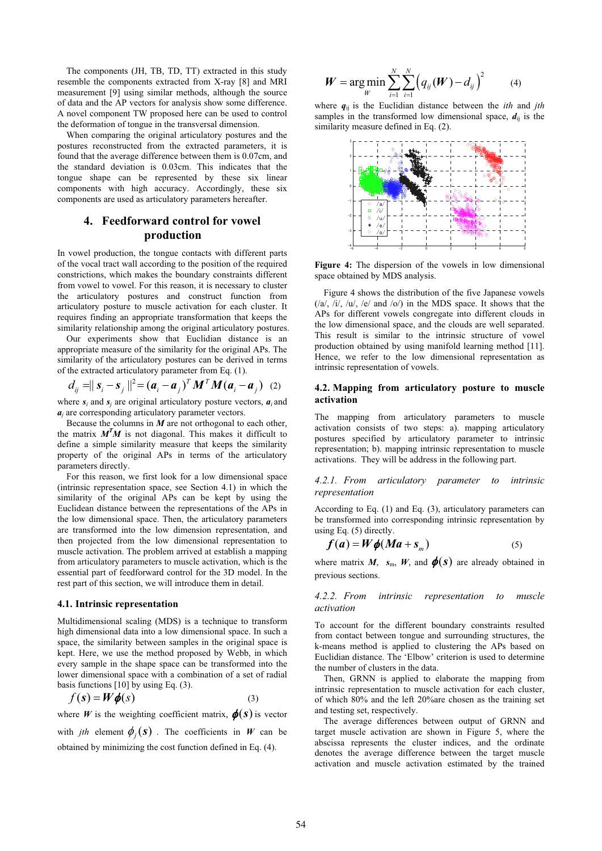The components (JH, TB, TD, TT) extracted in this study resemble the components extracted from X-ray [8] and MRI measurement [9] using similar methods, although the source of data and the AP vectors for analysis show some difference. A novel component TW proposed here can be used to control the deformation of tongue in the transversal dimension.

When comparing the original articulatory postures and the postures reconstructed from the extracted parameters, it is found that the average difference between them is 0.07cm, and the standard deviation is 0.03cm. This indicates that the tongue shape can be represented by these six linear components with high accuracy. Accordingly, these six components are used as articulatory parameters hereafter.

# **4. Feedforward control for vowel production**

In vowel production, the tongue contacts with different parts of the vocal tract wall according to the position of the required constrictions, which makes the boundary constraints different from vowel to vowel. For this reason, it is necessary to cluster the articulatory postures and construct function from articulatory posture to muscle activation for each cluster. It requires finding an appropriate transformation that keeps the similarity relationship among the original articulatory postures.

Our experiments show that Euclidian distance is an appropriate measure of the similarity for the original APs. The similarity of the articulatory postures can be derived in terms of the extracted articulatory parameter from Eq. (1).

$$
d_{ij} = ||\boldsymbol{s}_i - \boldsymbol{s}_j||^2 = (\boldsymbol{a}_i - \boldsymbol{a}_j)^T \boldsymbol{M}^T \boldsymbol{M} (\boldsymbol{a}_i - \boldsymbol{a}_j) \tag{2}
$$

where  $s_i$  and  $s_j$  are original articulatory posture vectors,  $a_j$  and *aj* are corresponding articulatory parameter vectors.

Because the columns in *M* are not orthogonal to each other, the matrix  $M<sup>T</sup>M$  is not diagonal. This makes it difficult to define a simple similarity measure that keeps the similarity property of the original APs in terms of the articulatory parameters directly.

For this reason, we first look for a low dimensional space (intrinsic representation space, see Section 4.1) in which the similarity of the original APs can be kept by using the Euclidean distance between the representations of the APs in the low dimensional space. Then, the articulatory parameters are transformed into the low dimension representation, and then projected from the low dimensional representation to muscle activation. The problem arrived at establish a mapping from articulatory parameters to muscle activation, which is the essential part of feedforward control for the 3D model. In the rest part of this section, we will introduce them in detail.

#### **4.1. Intrinsic representation**

Multidimensional scaling (MDS) is a technique to transform high dimensional data into a low dimensional space. In such a space, the similarity between samples in the original space is kept. Here, we use the method proposed by Webb, in which every sample in the shape space can be transformed into the lower dimensional space with a combination of a set of radial basis functions [10] by using Eq. (3).

$$
f(s) = W\dot{\phi}(s)
$$
 (3)

where *W* is the weighting coefficient matrix,  $\phi(s)$  is vector with *jth* element  $\phi_i(s)$ . The coefficients in *W* can be obtained by minimizing the cost function defined in Eq. (4).

$$
W = \underset{W}{\arg \min} \sum_{i=1}^{N} \sum_{i=1}^{N} \left( q_{ij}(W) - d_{ij} \right)^2 \tag{4}
$$

where  $q_{ii}$  is the Euclidian distance between the *ith* and *jth* samples in the transformed low dimensional space,  $d_{ii}$  is the similarity measure defined in Eq. (2).



**Figure 4:** The dispersion of the vowels in low dimensional space obtained by MDS analysis.

Figure 4 shows the distribution of the five Japanese vowels  $(\sqrt{a}, \sqrt{b}, \sqrt{a})$ ,  $(\sqrt{c}, \sqrt{b})$  and  $(\sqrt{c})$  in the MDS space. It shows that the APs for different vowels congregate into different clouds in the low dimensional space, and the clouds are well separated. This result is similar to the intrinsic structure of vowel production obtained by using manifold learning method [11]. Hence, we refer to the low dimensional representation as intrinsic representation of vowels.

#### **4.2. Mapping from articulatory posture to muscle activation**

The mapping from articulatory parameters to muscle activation consists of two steps: a). mapping articulatory postures specified by articulatory parameter to intrinsic representation; b). mapping intrinsic representation to muscle activations. They will be address in the following part.

*4.2.1. From articulatory parameter to intrinsic representation* 

According to Eq. (1) and Eq. (3), articulatory parameters can be transformed into corresponding intrinsic representation by using Eq. (5) directly.

$$
f(a) = W\phi(Ma + s_m)
$$
 (5)

where matrix *M*,  $s_m$ , *W*, and  $\phi(s)$  are already obtained in previous sections.

#### *4.2.2. From intrinsic representation to muscle activation*

To account for the different boundary constraints resulted from contact between tongue and surrounding structures, the k-means method is applied to clustering the APs based on Euclidian distance. The 'Elbow' criterion is used to determine the number of clusters in the data.

Then, GRNN is applied to elaborate the mapping from intrinsic representation to muscle activation for each cluster, of which 80% and the left 20%are chosen as the training set and testing set, respectively.

The average differences between output of GRNN and target muscle activation are shown in Figure 5, where the abscissa represents the cluster indices, and the ordinate denotes the average difference between the target muscle activation and muscle activation estimated by the trained